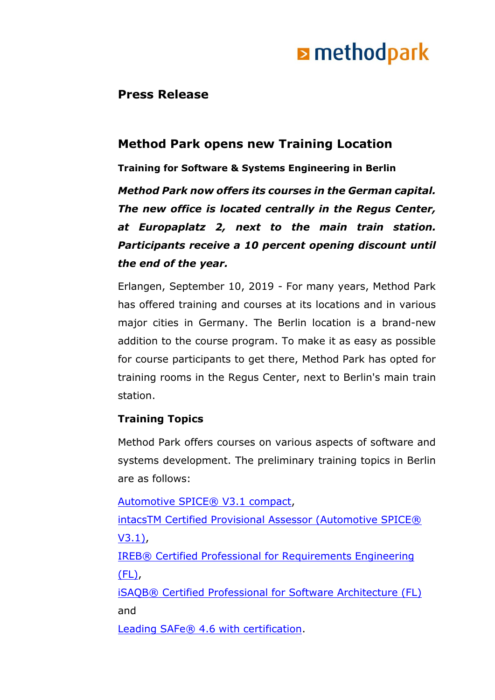# **E** methodpark

### **Press Release**

### **Method Park opens new Training Location**

**Training for Software & Systems Engineering in Berlin**

*Method Park now offers its courses in the German capital. The new office is located centrally in the Regus Center, at Europaplatz 2, next to the main train station. Participants receive a 10 percent opening discount until the end of the year.*

Erlangen, September 10, 2019 - For many years, Method Park has offered training and courses at its locations and in various major cities in Germany. The Berlin location is a brand-new addition to the course program. To make it as easy as possible for course participants to get there, Method Park has opted for training rooms in the Regus Center, next to Berlin's main train station.

#### **Training Topics**

Method Park offers courses on various aspects of software and systems development. The preliminary training topics in Berlin are as follows:

[Automotive SPICE® V3.1 compact,](https://www.methodpark.com/course/automotive-spicer-v31-compact.html) [intacsTM Certified Provisional Assessor \(Automotive SPICE®](https://www.methodpark.com/course/intacstm-certified-provisional-assessor-automotive-spicer-v31.html)  [V3.1\),](https://www.methodpark.com/course/intacstm-certified-provisional-assessor-automotive-spicer-v31.html) [IREB® Certified Professional for Requirements Engineering](https://www.methodpark.com/course/irebr-certified-professional-for-requirements-engineering-foundation-level.html)  [\(FL\),](https://www.methodpark.com/course/irebr-certified-professional-for-requirements-engineering-foundation-level.html) [iSAQB® Certified Professional for Software Architecture \(FL\)](https://www.methodpark.com/course/isaqbr-certified-professional-for-software-architecture-foundation-level.html) and

[Leading SAFe® 4.6 with certification.](https://www.methodpark.com/course/leading-safe-46-sa-with-certification.html)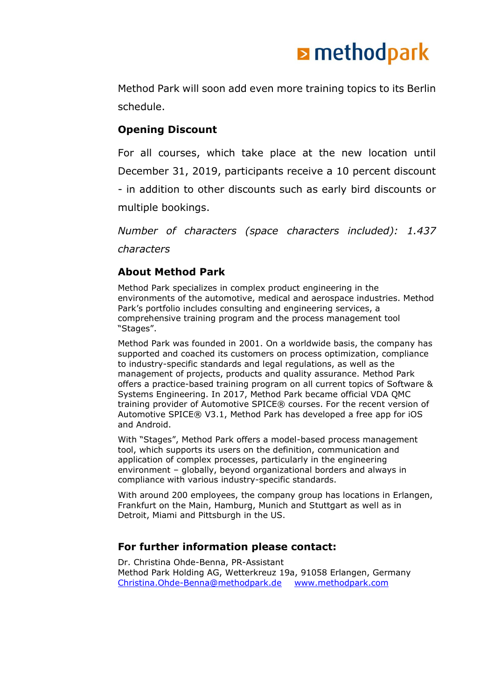# **E** methodpark

Method Park will soon add even more training topics to its Berlin schedule.

#### **Opening Discount**

For all courses, which take place at the new location until December 31, 2019, participants receive a 10 percent discount - in addition to other discounts such as early bird discounts or multiple bookings.

*Number of characters (space characters included): 1.437 characters*

#### **About Method Park**

Method Park specializes in complex product engineering in the environments of the automotive, medical and aerospace industries. Method Park's portfolio includes consulting and engineering services, a comprehensive training program and the process management tool "Stages".

Method Park was founded in 2001. On a worldwide basis, the company has supported and coached its customers on process optimization, compliance to industry-specific standards and legal regulations, as well as the management of projects, products and quality assurance. Method Park offers a practice-based training program on all current topics of Software & Systems Engineering. In 2017, Method Park became official VDA QMC training provider of Automotive SPICE® courses. For the recent version of Automotive SPICE® V3.1, Method Park has developed a free app for iOS and Android.

With "Stages", Method Park offers a model-based process management tool, which supports its users on the definition, communication and application of complex processes, particularly in the engineering environment – globally, beyond organizational borders and always in compliance with various industry-specific standards.

With around 200 employees, the company group has locations in Erlangen, Frankfurt on the Main, Hamburg, Munich and Stuttgart as well as in Detroit, Miami and Pittsburgh in the US.

#### **For further information please contact:**

Dr. Christina Ohde-Benna, PR-Assistant Method Park Holding AG, Wetterkreuz 19a, 91058 Erlangen, Germany [Christina.Ohde-Benna@methodpark.de](mailto:Christina.Ohde-Benna@methodpark.de) [www.methodpark.com](http://www.methodpark.com/)